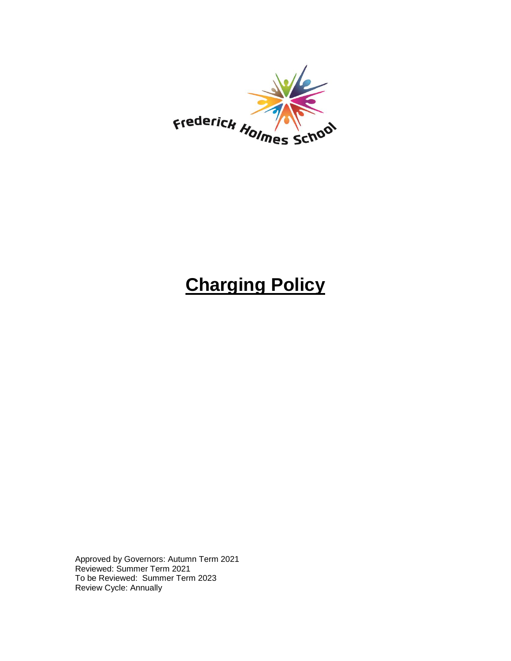

# **Charging Policy**

Approved by Governors: Autumn Term 2021 Reviewed: Summer Term 2021 To be Reviewed: Summer Term 2023 Review Cycle: Annually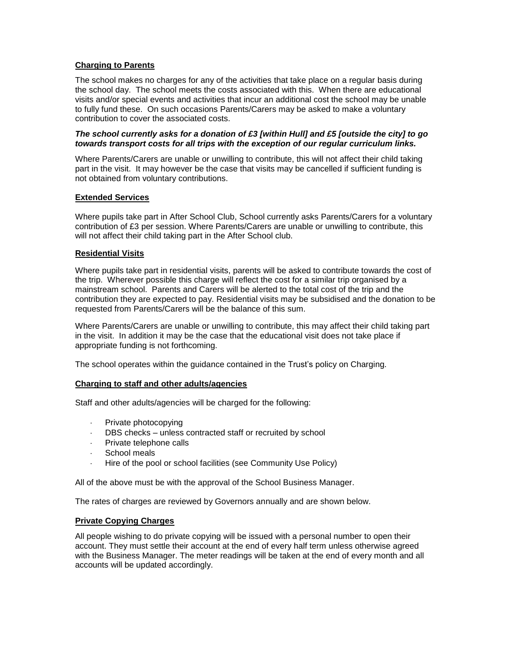# **Charging to Parents**

The school makes no charges for any of the activities that take place on a regular basis during the school day. The school meets the costs associated with this. When there are educational visits and/or special events and activities that incur an additional cost the school may be unable to fully fund these. On such occasions Parents/Carers may be asked to make a voluntary contribution to cover the associated costs.

# *The school currently asks for a donation of £3 [within Hull] and £5 [outside the city] to go towards transport costs for all trips with the exception of our regular curriculum links.*

Where Parents/Carers are unable or unwilling to contribute, this will not affect their child taking part in the visit. It may however be the case that visits may be cancelled if sufficient funding is not obtained from voluntary contributions.

# **Extended Services**

Where pupils take part in After School Club, School currently asks Parents/Carers for a voluntary contribution of £3 per session. Where Parents/Carers are unable or unwilling to contribute, this will not affect their child taking part in the After School club.

# **Residential Visits**

Where pupils take part in residential visits, parents will be asked to contribute towards the cost of the trip. Wherever possible this charge will reflect the cost for a similar trip organised by a mainstream school. Parents and Carers will be alerted to the total cost of the trip and the contribution they are expected to pay. Residential visits may be subsidised and the donation to be requested from Parents/Carers will be the balance of this sum.

Where Parents/Carers are unable or unwilling to contribute, this may affect their child taking part in the visit. In addition it may be the case that the educational visit does not take place if appropriate funding is not forthcoming.

The school operates within the guidance contained in the Trust's policy on Charging.

#### **Charging to staff and other adults/agencies**

Staff and other adults/agencies will be charged for the following:

- Private photocopying
- DBS checks unless contracted staff or recruited by school
- Private telephone calls
- School meals
- Hire of the pool or school facilities (see Community Use Policy)

All of the above must be with the approval of the School Business Manager.

The rates of charges are reviewed by Governors annually and are shown below.

# **Private Copying Charges**

All people wishing to do private copying will be issued with a personal number to open their account. They must settle their account at the end of every half term unless otherwise agreed with the Business Manager. The meter readings will be taken at the end of every month and all accounts will be updated accordingly.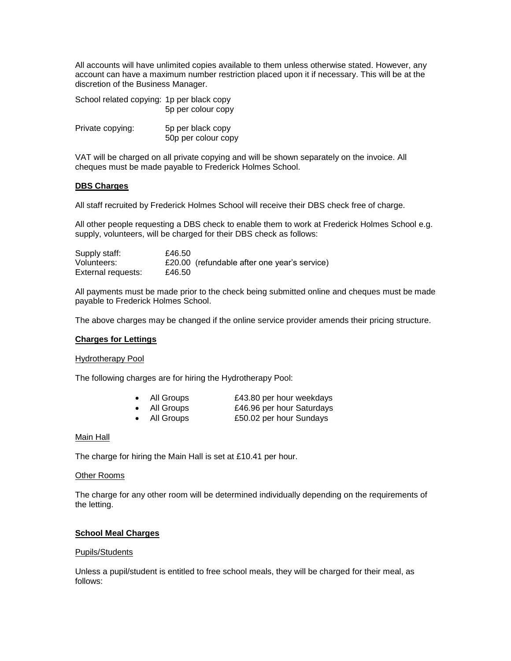All accounts will have unlimited copies available to them unless otherwise stated. However, any account can have a maximum number restriction placed upon it if necessary. This will be at the discretion of the Business Manager.

| School related copying: 1p per black copy | 5p per colour copy                       |
|-------------------------------------------|------------------------------------------|
| Private copying:                          | 5p per black copy<br>50p per colour copy |

VAT will be charged on all private copying and will be shown separately on the invoice. All cheques must be made payable to Frederick Holmes School.

# **DBS Charges**

All staff recruited by Frederick Holmes School will receive their DBS check free of charge.

All other people requesting a DBS check to enable them to work at Frederick Holmes School e.g. supply, volunteers, will be charged for their DBS check as follows:

| Supply staff:      | £46.50                                       |
|--------------------|----------------------------------------------|
| Volunteers:        | £20.00 (refundable after one year's service) |
| External requests: | £46.50                                       |

All payments must be made prior to the check being submitted online and cheques must be made payable to Frederick Holmes School.

The above charges may be changed if the online service provider amends their pricing structure.

#### **Charges for Lettings**

#### Hydrotherapy Pool

The following charges are for hiring the Hydrotherapy Pool:

| All Groups     | £43.80 per hour weekdays |
|----------------|--------------------------|
| $\blacksquare$ |                          |

| All Groups     | £46.96 per hour Saturdays |
|----------------|---------------------------|
| $\blacksquare$ |                           |

• All Groups £50.02 per hour Sundays

# Main Hall

The charge for hiring the Main Hall is set at £10.41 per hour.

#### Other Rooms

The charge for any other room will be determined individually depending on the requirements of the letting.

# **School Meal Charges**

#### Pupils/Students

Unless a pupil/student is entitled to free school meals, they will be charged for their meal, as follows: